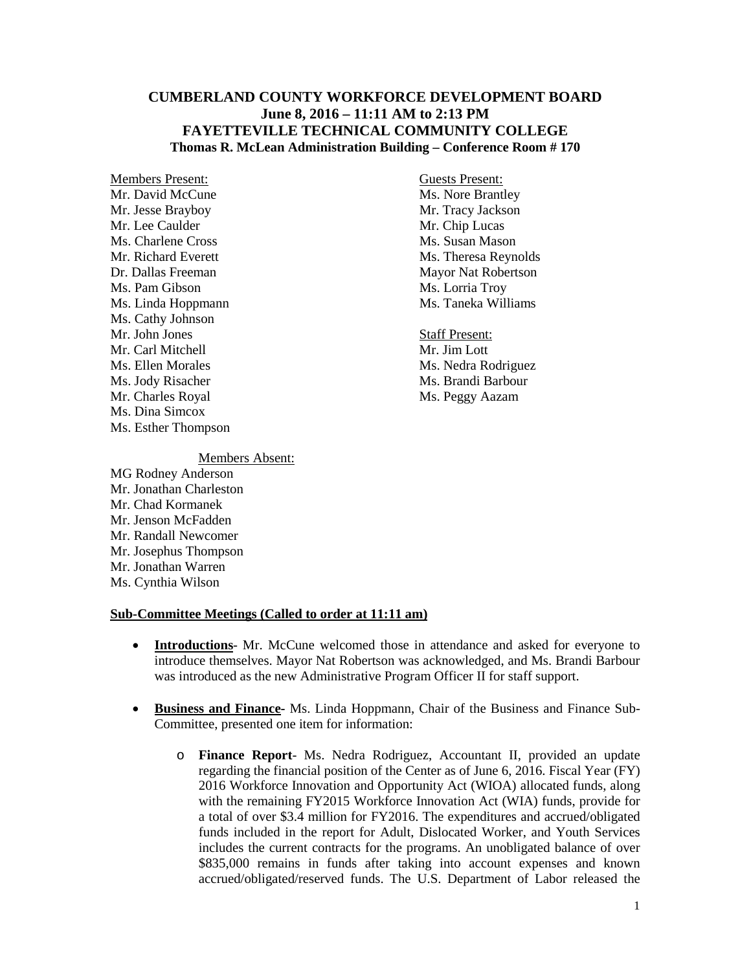## **CUMBERLAND COUNTY WORKFORCE DEVELOPMENT BOARD June 8, 2016 – 11:11 AM to 2:13 PM FAYETTEVILLE TECHNICAL COMMUNITY COLLEGE Thomas R. McLean Administration Building – Conference Room # 170**

Members Present: Guests Present: Mr. David McCune<br>
Mr. Jesse Brayboy<br>
Mr. Tracy Jackson Mr. Jesse Brayboy Mr. Lee Caulder Mr. Chip Lucas Ms. Charlene Cross Ms. Susan Mason Ms. Pam Gibson Ms. Lorria Troy<br>Ms. Linda Hoppmann Ms. Taneka Williams Ms. Linda Hoppmann Ms. Cathy Johnson Mr. John Jones Staff Present: Mr. Carl Mitchell Mr. Jim Lott Ms. Ellen Morales Ms. Nedra Rodriguez Ms. Jody Risacher Ms. Brandi Barbour Mr. Charles Royal Ms. Peggy Aazam Ms. Dina Simcox Ms. Esther Thompson

Mr. Richard Everett Ms. Theresa Reynolds Dr. Dallas Freeman Mayor Nat Robertson

## Members Absent:

MG Rodney Anderson Mr. Jonathan Charleston Mr. Chad Kormanek Mr. Jenson McFadden Mr. Randall Newcomer Mr. Josephus Thompson Mr. Jonathan Warren Ms. Cynthia Wilson

## **Sub-Committee Meetings (Called to order at 11:11 am)**

- **Introductions** Mr. McCune welcomed those in attendance and asked for everyone to introduce themselves. Mayor Nat Robertson was acknowledged, and Ms. Brandi Barbour was introduced as the new Administrative Program Officer II for staff support.
- **Business and Finance-** Ms. Linda Hoppmann, Chair of the Business and Finance Sub-Committee, presented one item for information:
	- o **Finance Report** Ms. Nedra Rodriguez, Accountant II, provided an update regarding the financial position of the Center as of June 6, 2016. Fiscal Year (FY) 2016 Workforce Innovation and Opportunity Act (WIOA) allocated funds, along with the remaining FY2015 Workforce Innovation Act (WIA) funds, provide for a total of over \$3.4 million for FY2016. The expenditures and accrued/obligated funds included in the report for Adult, Dislocated Worker, and Youth Services includes the current contracts for the programs. An unobligated balance of over \$835,000 remains in funds after taking into account expenses and known accrued/obligated/reserved funds. The U.S. Department of Labor released the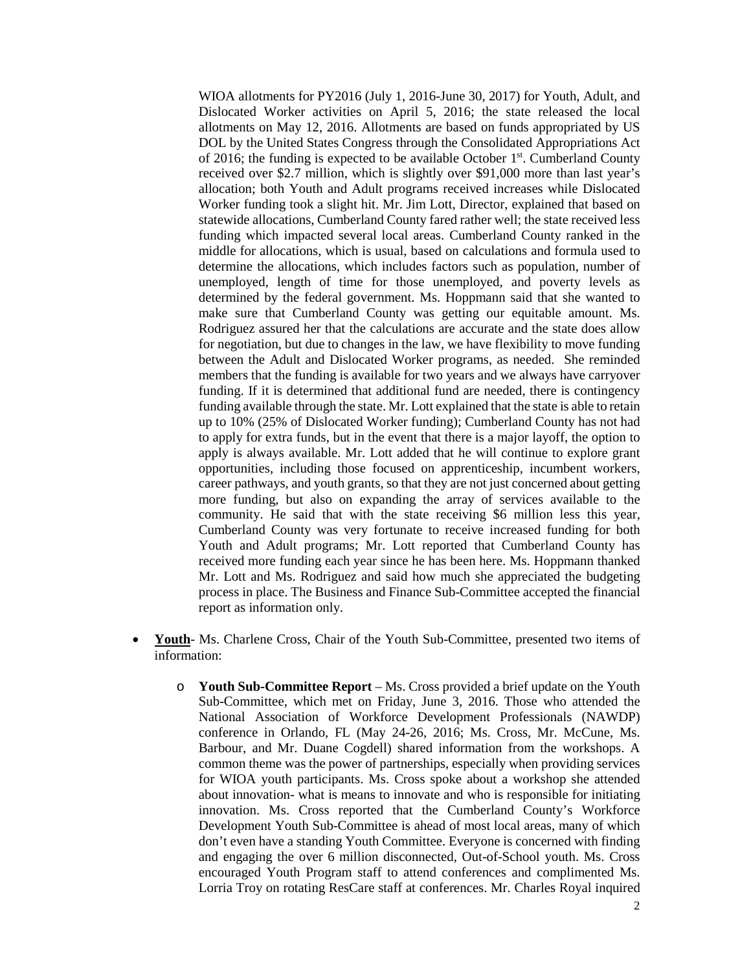WIOA allotments for PY2016 (July 1, 2016-June 30, 2017) for Youth, Adult, and Dislocated Worker activities on April 5, 2016; the state released the local allotments on May 12, 2016. Allotments are based on funds appropriated by US DOL by the United States Congress through the Consolidated Appropriations Act of 2016; the funding is expected to be available October  $1<sup>st</sup>$ . Cumberland County received over \$2.7 million, which is slightly over \$91,000 more than last year's allocation; both Youth and Adult programs received increases while Dislocated Worker funding took a slight hit. Mr. Jim Lott, Director, explained that based on statewide allocations, Cumberland County fared rather well; the state received less funding which impacted several local areas. Cumberland County ranked in the middle for allocations, which is usual, based on calculations and formula used to determine the allocations, which includes factors such as population, number of unemployed, length of time for those unemployed, and poverty levels as determined by the federal government. Ms. Hoppmann said that she wanted to make sure that Cumberland County was getting our equitable amount. Ms. Rodriguez assured her that the calculations are accurate and the state does allow for negotiation, but due to changes in the law, we have flexibility to move funding between the Adult and Dislocated Worker programs, as needed. She reminded members that the funding is available for two years and we always have carryover funding. If it is determined that additional fund are needed, there is contingency funding available through the state. Mr. Lott explained that the state is able to retain up to 10% (25% of Dislocated Worker funding); Cumberland County has not had to apply for extra funds, but in the event that there is a major layoff, the option to apply is always available. Mr. Lott added that he will continue to explore grant opportunities, including those focused on apprenticeship, incumbent workers, career pathways, and youth grants, so that they are not just concerned about getting more funding, but also on expanding the array of services available to the community. He said that with the state receiving \$6 million less this year, Cumberland County was very fortunate to receive increased funding for both Youth and Adult programs; Mr. Lott reported that Cumberland County has received more funding each year since he has been here. Ms. Hoppmann thanked Mr. Lott and Ms. Rodriguez and said how much she appreciated the budgeting process in place. The Business and Finance Sub-Committee accepted the financial report as information only.

- **Youth** Ms. Charlene Cross, Chair of the Youth Sub-Committee, presented two items of information:
	- o **Youth Sub-Committee Report** Ms. Cross provided a brief update on the Youth Sub-Committee, which met on Friday, June 3, 2016. Those who attended the National Association of Workforce Development Professionals (NAWDP) conference in Orlando, FL (May 24-26, 2016; Ms. Cross, Mr. McCune, Ms. Barbour, and Mr. Duane Cogdell) shared information from the workshops. A common theme was the power of partnerships, especially when providing services for WIOA youth participants. Ms. Cross spoke about a workshop she attended about innovation- what is means to innovate and who is responsible for initiating innovation. Ms. Cross reported that the Cumberland County's Workforce Development Youth Sub-Committee is ahead of most local areas, many of which don't even have a standing Youth Committee. Everyone is concerned with finding and engaging the over 6 million disconnected, Out-of-School youth. Ms. Cross encouraged Youth Program staff to attend conferences and complimented Ms. Lorria Troy on rotating ResCare staff at conferences. Mr. Charles Royal inquired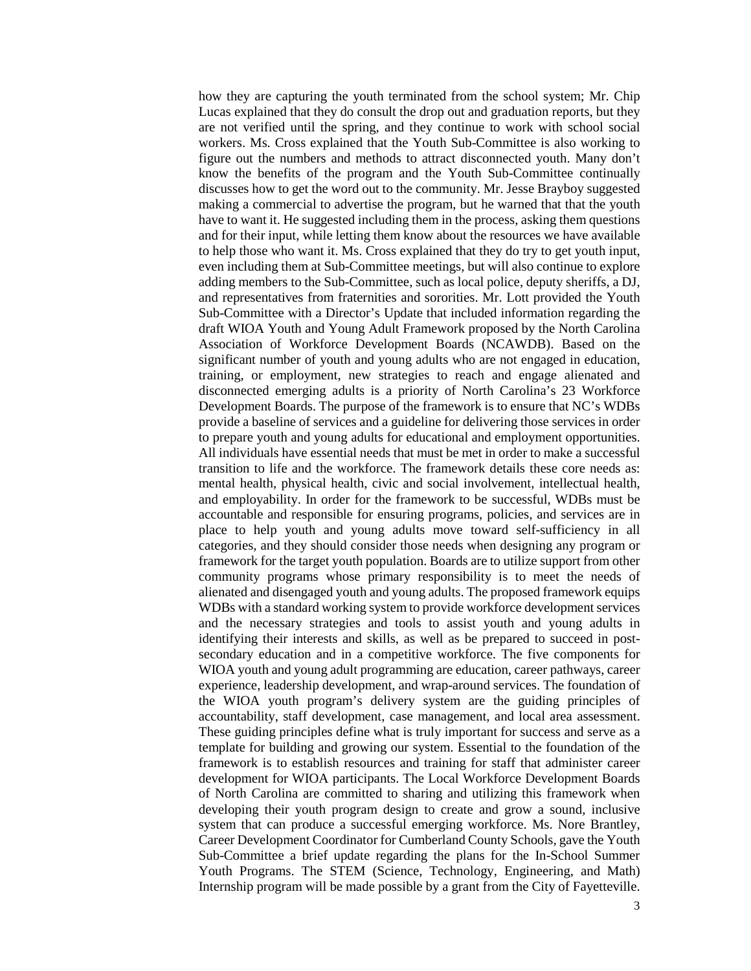how they are capturing the youth terminated from the school system; Mr. Chip Lucas explained that they do consult the drop out and graduation reports, but they are not verified until the spring, and they continue to work with school social workers. Ms. Cross explained that the Youth Sub-Committee is also working to figure out the numbers and methods to attract disconnected youth. Many don't know the benefits of the program and the Youth Sub-Committee continually discusses how to get the word out to the community. Mr. Jesse Brayboy suggested making a commercial to advertise the program, but he warned that that the youth have to want it. He suggested including them in the process, asking them questions and for their input, while letting them know about the resources we have available to help those who want it. Ms. Cross explained that they do try to get youth input, even including them at Sub-Committee meetings, but will also continue to explore adding members to the Sub-Committee, such as local police, deputy sheriffs, a DJ, and representatives from fraternities and sororities. Mr. Lott provided the Youth Sub-Committee with a Director's Update that included information regarding the draft WIOA Youth and Young Adult Framework proposed by the North Carolina Association of Workforce Development Boards (NCAWDB). Based on the significant number of youth and young adults who are not engaged in education, training, or employment, new strategies to reach and engage alienated and disconnected emerging adults is a priority of North Carolina's 23 Workforce Development Boards. The purpose of the framework is to ensure that NC's WDBs provide a baseline of services and a guideline for delivering those services in order to prepare youth and young adults for educational and employment opportunities. All individuals have essential needs that must be met in order to make a successful transition to life and the workforce. The framework details these core needs as: mental health, physical health, civic and social involvement, intellectual health, and employability. In order for the framework to be successful, WDBs must be accountable and responsible for ensuring programs, policies, and services are in place to help youth and young adults move toward self-sufficiency in all categories, and they should consider those needs when designing any program or framework for the target youth population. Boards are to utilize support from other community programs whose primary responsibility is to meet the needs of alienated and disengaged youth and young adults. The proposed framework equips WDBs with a standard working system to provide workforce development services and the necessary strategies and tools to assist youth and young adults in identifying their interests and skills, as well as be prepared to succeed in postsecondary education and in a competitive workforce. The five components for WIOA youth and young adult programming are education, career pathways, career experience, leadership development, and wrap-around services. The foundation of the WIOA youth program's delivery system are the guiding principles of accountability, staff development, case management, and local area assessment. These guiding principles define what is truly important for success and serve as a template for building and growing our system. Essential to the foundation of the framework is to establish resources and training for staff that administer career development for WIOA participants. The Local Workforce Development Boards of North Carolina are committed to sharing and utilizing this framework when developing their youth program design to create and grow a sound, inclusive system that can produce a successful emerging workforce. Ms. Nore Brantley, Career Development Coordinator for Cumberland County Schools, gave the Youth Sub-Committee a brief update regarding the plans for the In-School Summer Youth Programs. The STEM (Science, Technology, Engineering, and Math) Internship program will be made possible by a grant from the City of Fayetteville.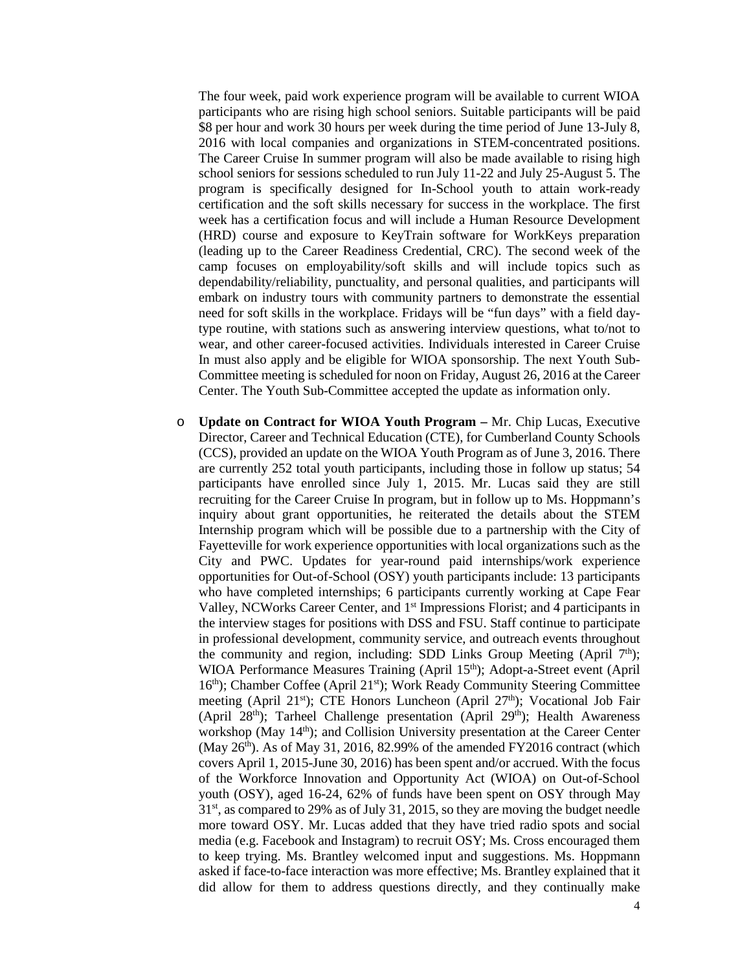The four week, paid work experience program will be available to current WIOA participants who are rising high school seniors. Suitable participants will be paid \$8 per hour and work 30 hours per week during the time period of June 13-July 8, 2016 with local companies and organizations in STEM-concentrated positions. The Career Cruise In summer program will also be made available to rising high school seniors for sessions scheduled to run July 11-22 and July 25-August 5. The program is specifically designed for In-School youth to attain work-ready certification and the soft skills necessary for success in the workplace. The first week has a certification focus and will include a Human Resource Development (HRD) course and exposure to KeyTrain software for WorkKeys preparation (leading up to the Career Readiness Credential, CRC). The second week of the camp focuses on employability/soft skills and will include topics such as dependability/reliability, punctuality, and personal qualities, and participants will embark on industry tours with community partners to demonstrate the essential need for soft skills in the workplace. Fridays will be "fun days" with a field daytype routine, with stations such as answering interview questions, what to/not to wear, and other career-focused activities. Individuals interested in Career Cruise In must also apply and be eligible for WIOA sponsorship. The next Youth Sub-Committee meeting is scheduled for noon on Friday, August 26, 2016 at the Career Center. The Youth Sub-Committee accepted the update as information only.

o **Update on Contract for WIOA Youth Program –** Mr. Chip Lucas, Executive Director, Career and Technical Education (CTE), for Cumberland County Schools (CCS), provided an update on the WIOA Youth Program as of June 3, 2016. There are currently 252 total youth participants, including those in follow up status; 54 participants have enrolled since July 1, 2015. Mr. Lucas said they are still recruiting for the Career Cruise In program, but in follow up to Ms. Hoppmann's inquiry about grant opportunities, he reiterated the details about the STEM Internship program which will be possible due to a partnership with the City of Fayetteville for work experience opportunities with local organizations such as the City and PWC. Updates for year-round paid internships/work experience opportunities for Out-of-School (OSY) youth participants include: 13 participants who have completed internships; 6 participants currently working at Cape Fear Valley, NCWorks Career Center, and 1st Impressions Florist; and 4 participants in the interview stages for positions with DSS and FSU. Staff continue to participate in professional development, community service, and outreach events throughout the community and region, including: SDD Links Group Meeting (April  $7<sup>th</sup>$ ); WIOA Performance Measures Training (April 15<sup>th</sup>); Adopt-a-Street event (April 16<sup>th</sup>); Chamber Coffee (April 21<sup>st</sup>); Work Ready Community Steering Committee meeting (April 21st); CTE Honors Luncheon (April 27<sup>th</sup>); Vocational Job Fair (April 28<sup>th</sup>); Tarheel Challenge presentation (April 29<sup>th</sup>); Health Awareness workshop (May 14<sup>th</sup>); and Collision University presentation at the Career Center (May  $26<sup>th</sup>$ ). As of May 31, 2016, 82.99% of the amended FY2016 contract (which covers April 1, 2015-June 30, 2016) has been spent and/or accrued. With the focus of the Workforce Innovation and Opportunity Act (WIOA) on Out-of-School youth (OSY), aged 16-24, 62% of funds have been spent on OSY through May 31st, as compared to 29% as of July 31, 2015, so they are moving the budget needle more toward OSY. Mr. Lucas added that they have tried radio spots and social media (e.g. Facebook and Instagram) to recruit OSY; Ms. Cross encouraged them to keep trying. Ms. Brantley welcomed input and suggestions. Ms. Hoppmann asked if face-to-face interaction was more effective; Ms. Brantley explained that it did allow for them to address questions directly, and they continually make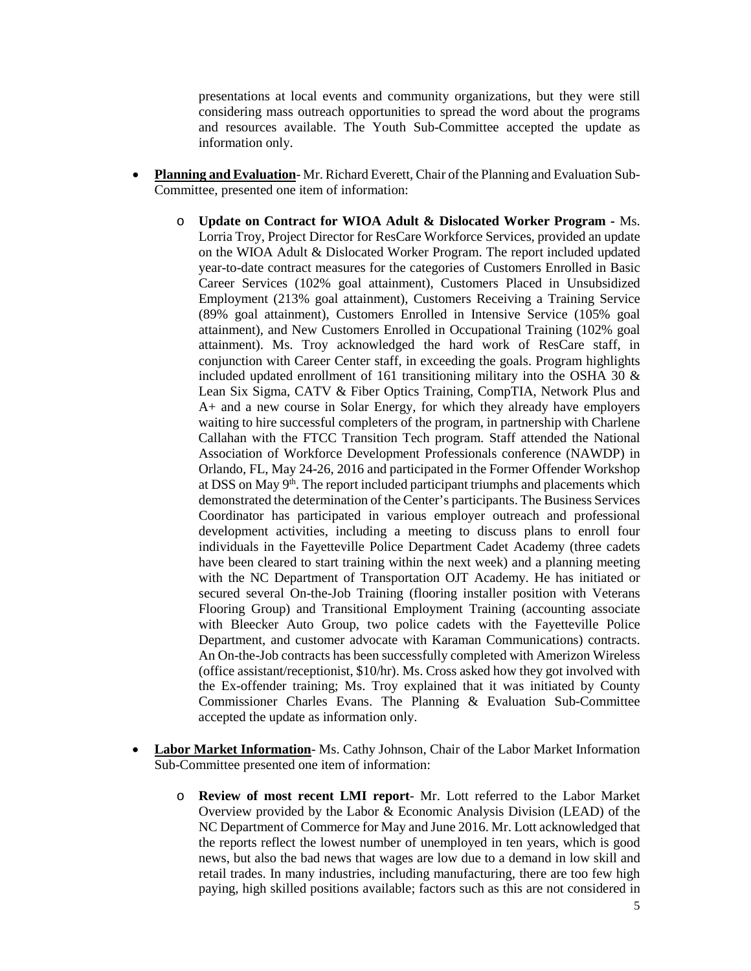presentations at local events and community organizations, but they were still considering mass outreach opportunities to spread the word about the programs and resources available. The Youth Sub-Committee accepted the update as information only.

- **Planning and Evaluation** Mr. Richard Everett, Chair of the Planning and Evaluation Sub-Committee, presented one item of information:
	- o **Update on Contract for WIOA Adult & Dislocated Worker Program -** Ms. Lorria Troy, Project Director for ResCare Workforce Services, provided an update on the WIOA Adult & Dislocated Worker Program. The report included updated year-to-date contract measures for the categories of Customers Enrolled in Basic Career Services (102% goal attainment), Customers Placed in Unsubsidized Employment (213% goal attainment), Customers Receiving a Training Service (89% goal attainment), Customers Enrolled in Intensive Service (105% goal attainment), and New Customers Enrolled in Occupational Training (102% goal attainment). Ms. Troy acknowledged the hard work of ResCare staff, in conjunction with Career Center staff, in exceeding the goals. Program highlights included updated enrollment of 161 transitioning military into the OSHA 30  $\&$ Lean Six Sigma, CATV & Fiber Optics Training, CompTIA, Network Plus and A+ and a new course in Solar Energy, for which they already have employers waiting to hire successful completers of the program, in partnership with Charlene Callahan with the FTCC Transition Tech program. Staff attended the National Association of Workforce Development Professionals conference (NAWDP) in Orlando, FL, May 24-26, 2016 and participated in the Former Offender Workshop at DSS on May  $9<sup>th</sup>$ . The report included participant triumphs and placements which demonstrated the determination of the Center's participants. The Business Services Coordinator has participated in various employer outreach and professional development activities, including a meeting to discuss plans to enroll four individuals in the Fayetteville Police Department Cadet Academy (three cadets have been cleared to start training within the next week) and a planning meeting with the NC Department of Transportation OJT Academy. He has initiated or secured several On-the-Job Training (flooring installer position with Veterans Flooring Group) and Transitional Employment Training (accounting associate with Bleecker Auto Group, two police cadets with the Fayetteville Police Department, and customer advocate with Karaman Communications) contracts. An On-the-Job contracts has been successfully completed with Amerizon Wireless (office assistant/receptionist, \$10/hr). Ms. Cross asked how they got involved with the Ex-offender training; Ms. Troy explained that it was initiated by County Commissioner Charles Evans. The Planning & Evaluation Sub-Committee accepted the update as information only.
- **Labor Market Information** Ms. Cathy Johnson, Chair of the Labor Market Information Sub-Committee presented one item of information:
	- o **Review of most recent LMI report** Mr. Lott referred to the Labor Market Overview provided by the Labor & Economic Analysis Division (LEAD) of the NC Department of Commerce for May and June 2016. Mr. Lott acknowledged that the reports reflect the lowest number of unemployed in ten years, which is good news, but also the bad news that wages are low due to a demand in low skill and retail trades. In many industries, including manufacturing, there are too few high paying, high skilled positions available; factors such as this are not considered in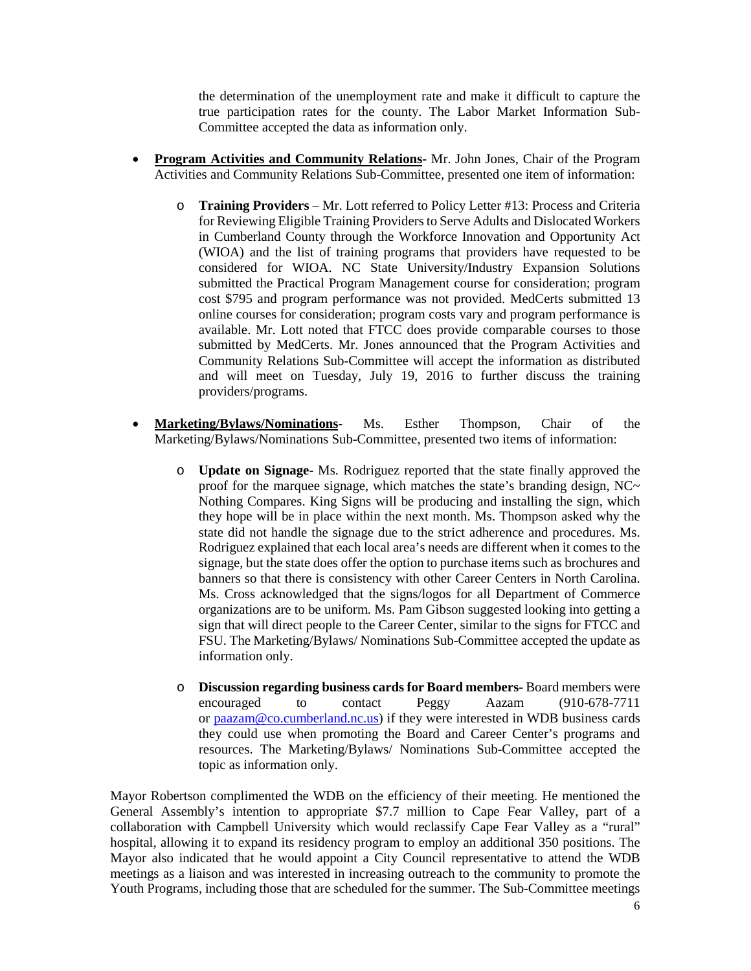the determination of the unemployment rate and make it difficult to capture the true participation rates for the county. The Labor Market Information Sub-Committee accepted the data as information only.

- **Program Activities and Community Relations-** Mr. John Jones, Chair of the Program Activities and Community Relations Sub-Committee, presented one item of information:
	- o **Training Providers** Mr. Lott referred to Policy Letter #13: Process and Criteria for Reviewing Eligible Training Providers to Serve Adults and Dislocated Workers in Cumberland County through the Workforce Innovation and Opportunity Act (WIOA) and the list of training programs that providers have requested to be considered for WIOA. NC State University/Industry Expansion Solutions submitted the Practical Program Management course for consideration; program cost \$795 and program performance was not provided. MedCerts submitted 13 online courses for consideration; program costs vary and program performance is available. Mr. Lott noted that FTCC does provide comparable courses to those submitted by MedCerts. Mr. Jones announced that the Program Activities and Community Relations Sub-Committee will accept the information as distributed and will meet on Tuesday, July 19, 2016 to further discuss the training providers/programs.
- **Marketing/Bylaws/Nominations-** Ms. Esther Thompson, Chair of the Marketing/Bylaws/Nominations Sub-Committee, presented two items of information:
	- o **Update on Signage** Ms. Rodriguez reported that the state finally approved the proof for the marquee signage, which matches the state's branding design,  $NC \sim$ Nothing Compares. King Signs will be producing and installing the sign, which they hope will be in place within the next month. Ms. Thompson asked why the state did not handle the signage due to the strict adherence and procedures. Ms. Rodriguez explained that each local area's needs are different when it comes to the signage, but the state does offer the option to purchase items such as brochures and banners so that there is consistency with other Career Centers in North Carolina. Ms. Cross acknowledged that the signs/logos for all Department of Commerce organizations are to be uniform. Ms. Pam Gibson suggested looking into getting a sign that will direct people to the Career Center, similar to the signs for FTCC and FSU. The Marketing/Bylaws/ Nominations Sub-Committee accepted the update as information only.
	- o **Discussion regarding business cards for Board members** Board members were  $(910-678-7711$ or [paazam@co.cumberland.nc.us\)](mailto:paazam@co.cumberland.nc.us) if they were interested in WDB business cards they could use when promoting the Board and Career Center's programs and resources. The Marketing/Bylaws/ Nominations Sub-Committee accepted the topic as information only.

Mayor Robertson complimented the WDB on the efficiency of their meeting. He mentioned the General Assembly's intention to appropriate \$7.7 million to Cape Fear Valley, part of a collaboration with Campbell University which would reclassify Cape Fear Valley as a "rural" hospital, allowing it to expand its residency program to employ an additional 350 positions. The Mayor also indicated that he would appoint a City Council representative to attend the WDB meetings as a liaison and was interested in increasing outreach to the community to promote the Youth Programs, including those that are scheduled for the summer. The Sub-Committee meetings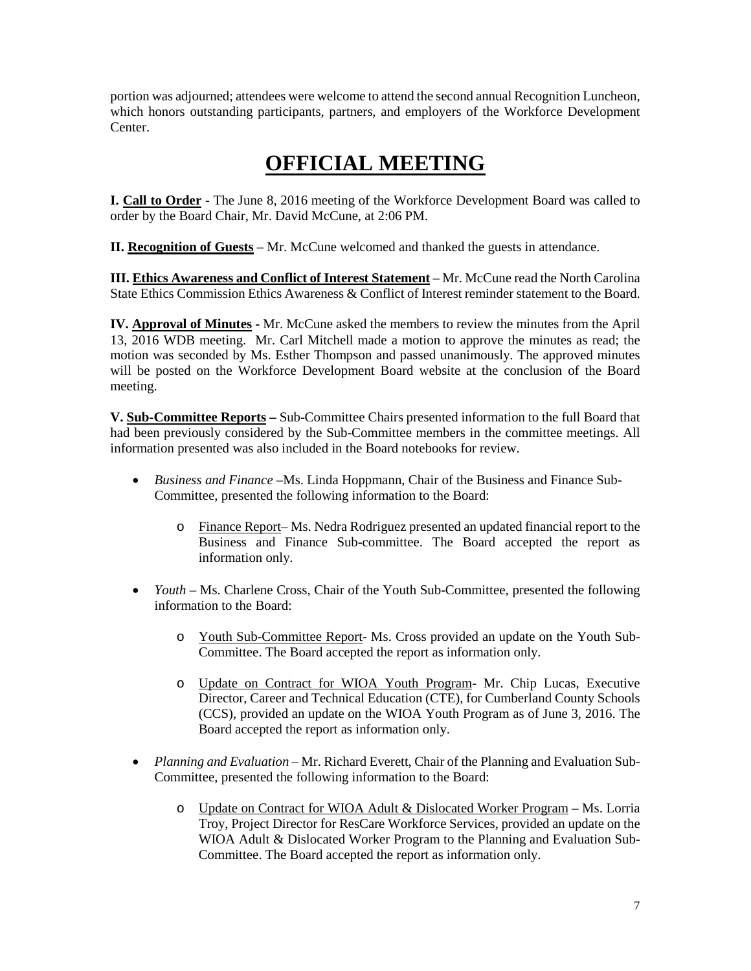portion was adjourned; attendees were welcome to attend the second annual Recognition Luncheon, which honors outstanding participants, partners, and employers of the Workforce Development Center.

## **OFFICIAL MEETING**

**I. Call to Order -** The June 8, 2016 meeting of the Workforce Development Board was called to order by the Board Chair, Mr. David McCune, at 2:06 PM.

**II. Recognition of Guests** – Mr. McCune welcomed and thanked the guests in attendance.

**III. Ethics Awareness and Conflict of Interest Statement** – Mr. McCune read the North Carolina State Ethics Commission Ethics Awareness & Conflict of Interest reminder statement to the Board.

**IV. Approval of Minutes -** Mr. McCune asked the members to review the minutes from the April 13, 2016 WDB meeting. Mr. Carl Mitchell made a motion to approve the minutes as read; the motion was seconded by Ms. Esther Thompson and passed unanimously. The approved minutes will be posted on the Workforce Development Board website at the conclusion of the Board meeting.

**V. Sub-Committee Reports –** Sub-Committee Chairs presented information to the full Board that had been previously considered by the Sub-Committee members in the committee meetings. All information presented was also included in the Board notebooks for review.

- *Business and Finance –*Ms. Linda Hoppmann, Chair of the Business and Finance Sub-Committee, presented the following information to the Board:
	- o Finance Report– Ms. Nedra Rodriguez presented an updated financial report to the Business and Finance Sub-committee. The Board accepted the report as information only.
- *Youth* Ms. Charlene Cross, Chair of the Youth Sub-Committee, presented the following information to the Board:
	- o Youth Sub-Committee Report- Ms. Cross provided an update on the Youth Sub-Committee. The Board accepted the report as information only.
	- o Update on Contract for WIOA Youth Program- Mr. Chip Lucas, Executive Director, Career and Technical Education (CTE), for Cumberland County Schools (CCS), provided an update on the WIOA Youth Program as of June 3, 2016. The Board accepted the report as information only.
- *Planning and Evaluation* Mr. Richard Everett, Chair of the Planning and Evaluation Sub-Committee, presented the following information to the Board:
	- o Update on Contract for WIOA Adult & Dislocated Worker Program Ms. Lorria Troy, Project Director for ResCare Workforce Services, provided an update on the WIOA Adult & Dislocated Worker Program to the Planning and Evaluation Sub-Committee. The Board accepted the report as information only.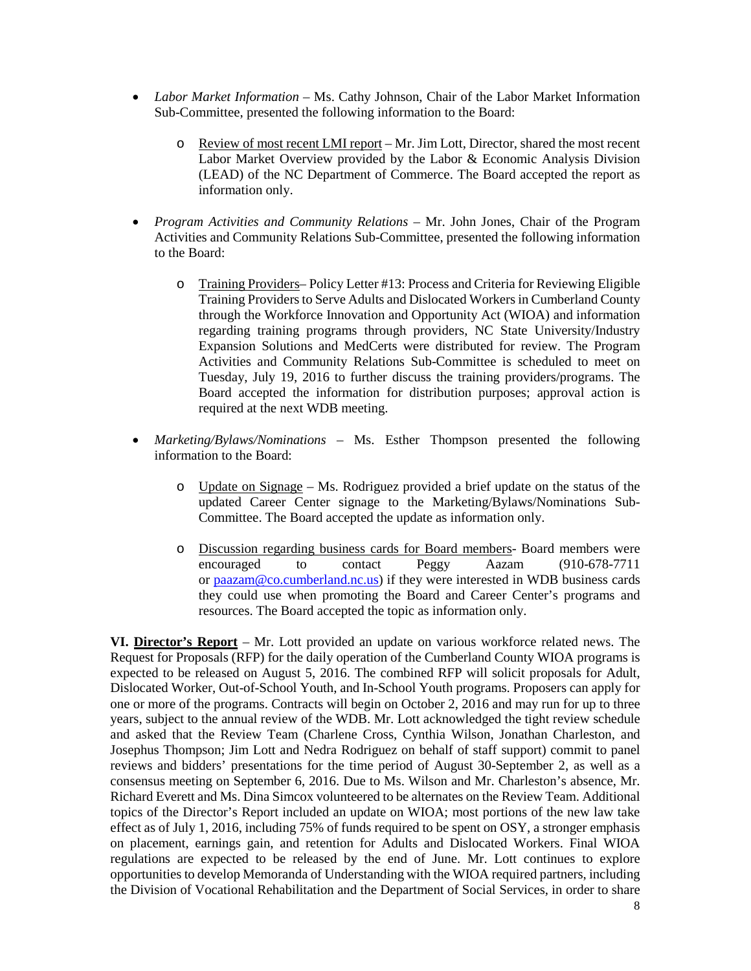- *Labor Market Information* Ms. Cathy Johnson, Chair of the Labor Market Information Sub-Committee, presented the following information to the Board:
	- o Review of most recent LMI report Mr. Jim Lott, Director, shared the most recent Labor Market Overview provided by the Labor & Economic Analysis Division (LEAD) of the NC Department of Commerce. The Board accepted the report as information only.
- *Program Activities and Community Relations –* Mr. John Jones, Chair of the Program Activities and Community Relations Sub-Committee, presented the following information to the Board:
	- o Training Providers– Policy Letter #13: Process and Criteria for Reviewing Eligible Training Providers to Serve Adults and Dislocated Workers in Cumberland County through the Workforce Innovation and Opportunity Act (WIOA) and information regarding training programs through providers, NC State University/Industry Expansion Solutions and MedCerts were distributed for review. The Program Activities and Community Relations Sub-Committee is scheduled to meet on Tuesday, July 19, 2016 to further discuss the training providers/programs. The Board accepted the information for distribution purposes; approval action is required at the next WDB meeting.
- *Marketing/Bylaws/Nominations –* Ms. Esther Thompson presented the following information to the Board:
	- o Update on Signage Ms. Rodriguez provided a brief update on the status of the updated Career Center signage to the Marketing/Bylaws/Nominations Sub-Committee. The Board accepted the update as information only.
	- o Discussion regarding business cards for Board members- Board members were  $(910-678-7711$ or [paazam@co.cumberland.nc.us\)](mailto:paazam@co.cumberland.nc.us) if they were interested in WDB business cards they could use when promoting the Board and Career Center's programs and resources. The Board accepted the topic as information only.

**VI. Director's Report** – Mr. Lott provided an update on various workforce related news. The Request for Proposals (RFP) for the daily operation of the Cumberland County WIOA programs is expected to be released on August 5, 2016. The combined RFP will solicit proposals for Adult, Dislocated Worker, Out-of-School Youth, and In-School Youth programs. Proposers can apply for one or more of the programs. Contracts will begin on October 2, 2016 and may run for up to three years, subject to the annual review of the WDB. Mr. Lott acknowledged the tight review schedule and asked that the Review Team (Charlene Cross, Cynthia Wilson, Jonathan Charleston, and Josephus Thompson; Jim Lott and Nedra Rodriguez on behalf of staff support) commit to panel reviews and bidders' presentations for the time period of August 30-September 2, as well as a consensus meeting on September 6, 2016. Due to Ms. Wilson and Mr. Charleston's absence, Mr. Richard Everett and Ms. Dina Simcox volunteered to be alternates on the Review Team. Additional topics of the Director's Report included an update on WIOA; most portions of the new law take effect as of July 1, 2016, including 75% of funds required to be spent on OSY, a stronger emphasis on placement, earnings gain, and retention for Adults and Dislocated Workers. Final WIOA regulations are expected to be released by the end of June. Mr. Lott continues to explore opportunities to develop Memoranda of Understanding with the WIOA required partners, including the Division of Vocational Rehabilitation and the Department of Social Services, in order to share